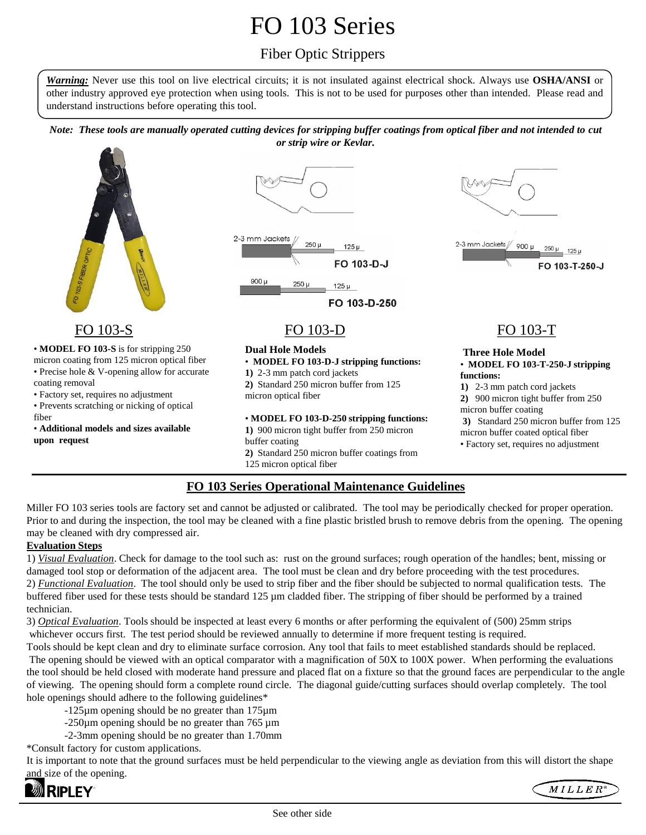# FO 103 Series

# Fiber Optic Strippers

*Warning:* Never use this tool on live electrical circuits; it is not insulated against electrical shock. Always use **OSHA/ANSI** or other industry approved eye protection when using tools. This is not to be used for purposes other than intended. Please read and understand instructions before operating this tool.

*Note: These tools are manually operated cutting devices for stripping buffer coatings from optical fiber and not intended to cut or strip wire or Kevlar.*



# FO 103-S FO 103-D FO 103-T

• **MODEL FO 103-S** is for stripping 250

- micron coating from 125 micron optical fiber • Precise hole & V-opening allow for accurate
- coating removal
- Factory set, requires no adjustment
- Prevents scratching or nicking of optical fiber
- **Additional models and sizes available upon request**



### **Dual Hole Models** • **MODEL FO 103-D-J stripping functions:**

- **1)** 2-3 mm patch cord jackets
- **2)** Standard 250 micron buffer from 125 micron optical fiber

### • **MODEL FO 103-D-250 stripping functions:**

**1)** 900 micron tight buffer from 250 micron buffer coating **2)** Standard 250 micron buffer coatings from

125 micron optical fiber j



### **Three Hole Model** • **MODEL FO 103-T-250-J stripping functions:**

- **1)** 2-3 mm patch cord jackets **2)** 900 micron tight buffer from 250
- micron buffer coating **3)** Standard 250 micron buffer from 125
- micron buffer coated optical fiber
- Factory set, requires no adjustment

## **FO 103 Series Operational Maintenance Guidelines**

Miller FO 103 series tools are factory set and cannot be adjusted or calibrated. The tool may be periodically checked for proper operation. Prior to and during the inspection, the tool may be cleaned with a fine plastic bristled brush to remove debris from the opening. The opening may be cleaned with dry compressed air.

## **Evaluation Steps**

1) *Visual Evaluation*. Check for damage to the tool such as: rust on the ground surfaces; rough operation of the handles; bent, missing or damaged tool stop or deformation of the adjacent area. The tool must be clean and dry before proceeding with the test procedures. 2) *Functional Evaluation*. The tool should only be used to strip fiber and the fiber should be subjected to normal qualification tests. The buffered fiber used for these tests should be standard 125 µm cladded fiber. The stripping of fiber should be performed by a trained technician.

3) *Optical Evaluation*. Tools should be inspected at least every 6 months or after performing the equivalent of (500) 25mm strips whichever occurs first. The test period should be reviewed annually to determine if more frequent testing is required.

Tools should be kept clean and dry to eliminate surface corrosion. Any tool that fails to meet established standards should be replaced. The opening should be viewed with an optical comparator with a magnification of 50X to 100X power. When performing the evaluations the tool should be held closed with moderate hand pressure and placed flat on a fixture so that the ground faces are perpendicular to the angle of viewing. The opening should form a complete round circle. The diagonal guide/cutting surfaces should overlap completely. The tool hole openings should adhere to the following guidelines\*

- -125µm opening should be no greater than 175µm
- -250µm opening should be no greater than 765 µm
- -2-3mm opening should be no greater than 1.70mm

\*Consult factory for custom applications.

It is important to note that the ground surfaces must be held perpendicular to the viewing angle as deviation from this will distort the shape and size of the opening.